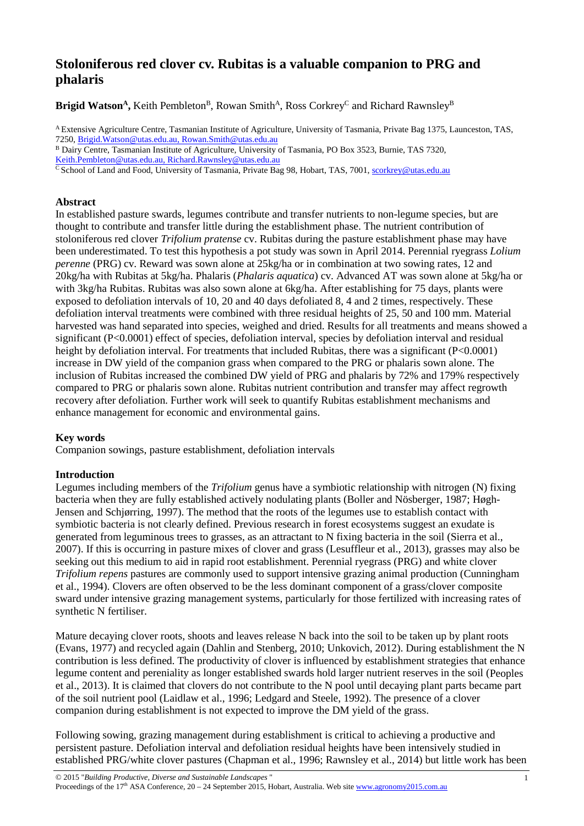# **Stoloniferous red clover cv. Rubitas is a valuable companion to PRG and phalaris**

**Brigid Watson<sup>A</sup>**, Keith Pembleton<sup>B</sup>, Rowan Smith<sup>A</sup>, Ross Corkrey<sup>C</sup> and Richard Rawnsley<sup>B</sup>

<sup>A</sup> Extensive Agriculture Centre, Tasmanian Institute of Agriculture, University of Tasmania, Private Bag 1375, Launceston, TAS, 7250[, Brigid.Watson@utas.edu.au,](mailto:Brigid.Watson@utas.edu.au) [Rowan.Smith@utas.edu.au](mailto:Rowan.Smith@utas.edu.au)

<sup>C</sup> School of Land and Food, University of Tasmania, Private Bag 98, Hobart, TAS, 7001[, scorkrey@utas.edu.au](mailto:scorkrey@utas.edu.au)

# **Abstract**

In established pasture swards, legumes contribute and transfer nutrients to non-legume species, but are thought to contribute and transfer little during the establishment phase. The nutrient contribution of stoloniferous red clover *Trifolium pratense* cv. Rubitas during the pasture establishment phase may have been underestimated. To test this hypothesis a pot study was sown in April 2014. Perennial ryegrass *Lolium perenne* (PRG) cv. Reward was sown alone at 25kg/ha or in combination at two sowing rates, 12 and 20kg/ha with Rubitas at 5kg/ha. Phalaris (*Phalaris aquatica*) cv. Advanced AT was sown alone at 5kg/ha or with 3kg/ha Rubitas. Rubitas was also sown alone at 6kg/ha. After establishing for 75 days, plants were exposed to defoliation intervals of 10, 20 and 40 days defoliated 8, 4 and 2 times, respectively. These defoliation interval treatments were combined with three residual heights of 25, 50 and 100 mm. Material harvested was hand separated into species, weighed and dried. Results for all treatments and means showed a significant (P<0.0001) effect of species, defoliation interval, species by defoliation interval and residual height by defoliation interval. For treatments that included Rubitas, there was a significant (P<0.0001) increase in DW yield of the companion grass when compared to the PRG or phalaris sown alone. The inclusion of Rubitas increased the combined DW yield of PRG and phalaris by 72% and 179% respectively compared to PRG or phalaris sown alone. Rubitas nutrient contribution and transfer may affect regrowth recovery after defoliation. Further work will seek to quantify Rubitas establishment mechanisms and enhance management for economic and environmental gains.

# **Key words**

Companion sowings, pasture establishment, defoliation intervals

#### **Introduction**

Legumes including members of the *Trifolium* genus have a symbiotic relationship with nitrogen (N) fixing bacteria when they are fully established actively nodulating plants [\(Boller and Nösberger, 1987;](#page-3-0) [Høgh-](#page-3-1)[Jensen and Schjørring, 1997\)](#page-3-1). The method that the roots of the legumes use to establish contact with symbiotic bacteria is not clearly defined. Previous research in forest ecosystems suggest an exudate is generated from leguminous trees to grasses, as an attractant to N fixing bacteria in the soil [\(Sierra et al.,](#page-3-2)  [2007\)](#page-3-2). If this is occurring in pasture mixes of clover and grass [\(Lesuffleur et al., 2013\)](#page-3-3), grasses may also be seeking out this medium to aid in rapid root establishment. Perennial ryegrass (PRG) and white clover *Trifolium repens* pastures are commonly used to support intensive grazing animal production [\(Cunningham](#page-3-4)  [et al., 1994\)](#page-3-4). Clovers are often observed to be the less dominant component of a grass/clover composite sward under intensive grazing management systems, particularly for those fertilized with increasing rates of synthetic N fertiliser.

Mature decaying clover roots, shoots and leaves release N back into the soil to be taken up by plant roots [\(Evans, 1977\)](#page-3-5) and recycled again [\(Dahlin and Stenberg, 2010;](#page-3-6) [Unkovich, 2012\)](#page-3-7). During establishment the N contribution is less defined. The productivity of clover is influenced by establishment strategies that enhance legume content and pereniality as longer established swards hold larger nutrient reserves in the soil [\(Peoples](#page-3-8)  [et al., 2013\)](#page-3-8). It is claimed that clovers do not contribute to the N pool until decaying plant parts became part of the soil nutrient pool [\(Laidlaw et al., 1996;](#page-3-9) [Ledgard and Steele, 1992\)](#page-3-10). The presence of a clover companion during establishment is not expected to improve the DM yield of the grass.

Following sowing, grazing management during establishment is critical to achieving a productive and persistent pasture. Defoliation interval and defoliation residual heights have been intensively studied in established PRG/white clover pastures [\(Chapman et al., 1996;](#page-3-11) [Rawnsley et al., 2014\)](#page-3-12) but little work has been

<sup>B</sup> Dairy Centre, Tasmanian Institute of Agriculture, University of Tasmania, PO Box 3523, Burnie, TAS 7320, [Keith.Pembleton@utas.edu.au,](mailto:Keith.Pembleton@utas.edu.au) [Richard.Rawnsley@utas.edu.au](mailto:Richard.Rawnsley@utas.edu.au)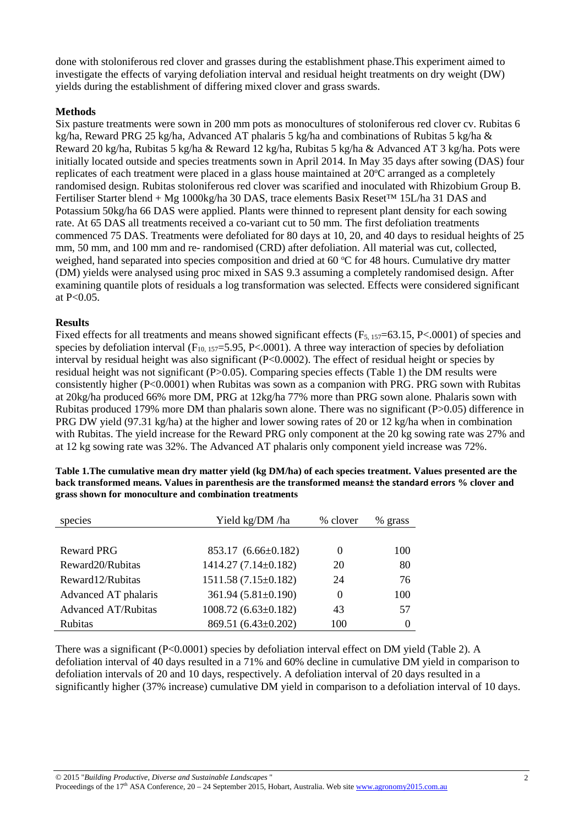done with stoloniferous red clover and grasses during the establishment phase.This experiment aimed to investigate the effects of varying defoliation interval and residual height treatments on dry weight (DW) yields during the establishment of differing mixed clover and grass swards.

## **Methods**

Six pasture treatments were sown in 200 mm pots as monocultures of stoloniferous red clover cv. Rubitas 6 kg/ha, Reward PRG 25 kg/ha, Advanced AT phalaris 5 kg/ha and combinations of Rubitas 5 kg/ha & Reward 20 kg/ha, Rubitas 5 kg/ha & Reward 12 kg/ha, Rubitas 5 kg/ha & Advanced AT 3 kg/ha. Pots were initially located outside and species treatments sown in April 2014. In May 35 days after sowing (DAS) four replicates of each treatment were placed in a glass house maintained at 20°C arranged as a completely randomised design. Rubitas stoloniferous red clover was scarified and inoculated with Rhizobium Group B. Fertiliser Starter blend + Mg 1000kg/ha 30 DAS, trace elements Basix Reset™ 15L/ha 31 DAS and Potassium 50kg/ha 66 DAS were applied. Plants were thinned to represent plant density for each sowing rate. At 65 DAS all treatments received a co-variant cut to 50 mm. The first defoliation treatments commenced 75 DAS. Treatments were defoliated for 80 days at 10, 20, and 40 days to residual heights of 25 mm, 50 mm, and 100 mm and re- randomised (CRD) after defoliation. All material was cut, collected, weighed, hand separated into species composition and dried at 60 °C for 48 hours. Cumulative dry matter (DM) yields were analysed using proc mixed in SAS 9.3 assuming a completely randomised design. After examining quantile plots of residuals a log transformation was selected. Effects were considered significant at P<0.05.

#### **Results**

Fixed effects for all treatments and means showed significant effects ( $F_{5, 157}=63.15$ , P<.0001) of species and species by defoliation interval  $(F_{10, 157}=5.95, P<.0001)$ . A three way interaction of species by defoliation interval by residual height was also significant  $(P< 0.0002)$ . The effect of residual height or species by residual height was not significant (P>0.05). Comparing species effects (Table 1) the DM results were consistently higher (P<0.0001) when Rubitas was sown as a companion with PRG. PRG sown with Rubitas at 20kg/ha produced 66% more DM, PRG at 12kg/ha 77% more than PRG sown alone. Phalaris sown with Rubitas produced 179% more DM than phalaris sown alone. There was no significant (P>0.05) difference in PRG DW yield (97.31 kg/ha) at the higher and lower sowing rates of 20 or 12 kg/ha when in combination with Rubitas. The yield increase for the Reward PRG only component at the 20 kg sowing rate was 27% and at 12 kg sowing rate was 32%. The Advanced AT phalaris only component yield increase was 72%.

| species                    | Yield kg/DM /ha<br>% clover |          | % grass |
|----------------------------|-----------------------------|----------|---------|
|                            |                             |          |         |
| <b>Reward PRG</b>          | $853.17(6.66\pm0.182)$      | $\theta$ | 100     |
| Reward 20/Rubitas          | $1414.27(7.14\pm0.182)$     | 20       | 80      |
| Reward12/Rubitas           | $1511.58(7.15\pm0.182)$     | 24       | 76      |
| Advanced AT phalaris       | $361.94 (5.81 \pm 0.190)$   | $\theta$ | 100     |
| <b>Advanced AT/Rubitas</b> | $1008.72(6.63\pm0.182)$     | 43       | 57      |
| Rubitas                    | 869.51 (6.43±0.202)         | 100      | 0       |

**Table 1.The cumulative mean dry matter yield (kg DM/ha) of each species treatment. Values presented are the back transformed means. Values in parenthesis are the transformed means± the standard errors % clover and grass shown for monoculture and combination treatments**

There was a significant (P<0.0001) species by defoliation interval effect on DM yield (Table 2). A defoliation interval of 40 days resulted in a 71% and 60% decline in cumulative DM yield in comparison to defoliation intervals of 20 and 10 days, respectively. A defoliation interval of 20 days resulted in a significantly higher (37% increase) cumulative DM yield in comparison to a defoliation interval of 10 days.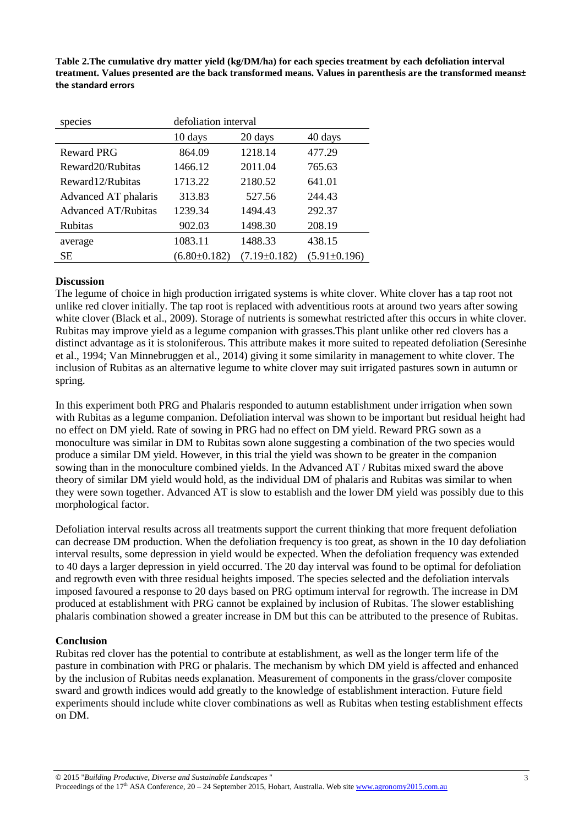**Table 2.The cumulative dry matter yield (kg/DM/ha) for each species treatment by each defoliation interval treatment. Values presented are the back transformed means. Values in parenthesis are the transformed means± the standard errors**

| species                    | defoliation interval |                    |                    |
|----------------------------|----------------------|--------------------|--------------------|
|                            | 10 days              | 20 days            | 40 days            |
| <b>Reward PRG</b>          | 864.09               | 1218.14            | 477.29             |
| Reward 20/Rubitas          | 1466.12              | 2011.04            | 765.63             |
| Reward 12/Rubitas          | 1713.22              | 2180.52            | 641.01             |
| Advanced AT phalaris       | 313.83               | 527.56             | 244.43             |
| <b>Advanced AT/Rubitas</b> | 1239.34              | 1494.43            | 292.37             |
| Rubitas                    | 902.03               | 1498.30            | 208.19             |
| average                    | 1083.11              | 1488.33            | 438.15             |
| SЕ                         | $(6.80 \pm 0.182)$   | $(7.19 \pm 0.182)$ | $(5.91 \pm 0.196)$ |

## **Discussion**

The legume of choice in high production irrigated systems is white clover. White clover has a tap root not unlike red clover initially. The tap root is replaced with adventitious roots at around two years after sowing white clover [\(Black et al., 2009\)](#page-3-13). Storage of nutrients is somewhat restricted after this occurs in white clover. Rubitas may improve yield as a legume companion with grasses.This plant unlike other red clovers has a distinct advantage as it is stoloniferous. This attribute makes it more suited to repeated defoliation [\(Seresinhe](#page-3-14)  [et al., 1994;](#page-3-14) [Van Minnebruggen et al., 2014\)](#page-3-15) giving it some similarity in management to white clover. The inclusion of Rubitas as an alternative legume to white clover may suit irrigated pastures sown in autumn or spring.

In this experiment both PRG and Phalaris responded to autumn establishment under irrigation when sown with Rubitas as a legume companion. Defoliation interval was shown to be important but residual height had no effect on DM yield. Rate of sowing in PRG had no effect on DM yield. Reward PRG sown as a monoculture was similar in DM to Rubitas sown alone suggesting a combination of the two species would produce a similar DM yield. However, in this trial the yield was shown to be greater in the companion sowing than in the monoculture combined yields. In the Advanced AT / Rubitas mixed sward the above theory of similar DM yield would hold, as the individual DM of phalaris and Rubitas was similar to when they were sown together. Advanced AT is slow to establish and the lower DM yield was possibly due to this morphological factor.

Defoliation interval results across all treatments support the current thinking that more frequent defoliation can decrease DM production. When the defoliation frequency is too great, as shown in the 10 day defoliation interval results, some depression in yield would be expected. When the defoliation frequency was extended to 40 days a larger depression in yield occurred. The 20 day interval was found to be optimal for defoliation and regrowth even with three residual heights imposed. The species selected and the defoliation intervals imposed favoured a response to 20 days based on PRG optimum interval for regrowth. The increase in DM produced at establishment with PRG cannot be explained by inclusion of Rubitas. The slower establishing phalaris combination showed a greater increase in DM but this can be attributed to the presence of Rubitas.

#### **Conclusion**

Rubitas red clover has the potential to contribute at establishment, as well as the longer term life of the pasture in combination with PRG or phalaris. The mechanism by which DM yield is affected and enhanced by the inclusion of Rubitas needs explanation. Measurement of components in the grass/clover composite sward and growth indices would add greatly to the knowledge of establishment interaction. Future field experiments should include white clover combinations as well as Rubitas when testing establishment effects on DM.